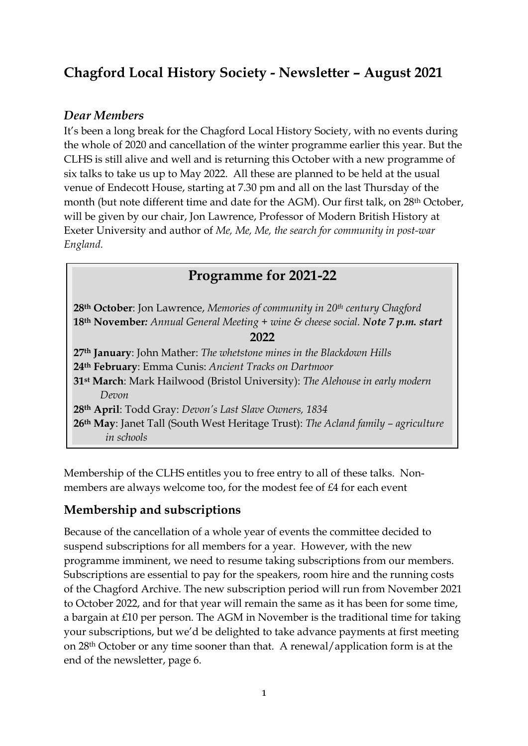# **Chagford Local History Society - Newsletter – August 2021**

#### *Dear Members*

It's been a long break for the Chagford Local History Society, with no events during the whole of 2020 and cancellation of the winter programme earlier this year. But the CLHS is still alive and well and is returning this October with a new programme of six talks to take us up to May 2022. All these are planned to be held at the usual venue of Endecott House, starting at 7.30 pm and all on the last Thursday of the month (but note different time and date for the AGM). Our first talk, on 28th October, will be given by our chair, Jon Lawrence, Professor of Modern British History at Exeter University and author of *Me, Me, Me, the search for community in post-war England.*

## **Programme for 2021-22**

**28th October**: Jon Lawrence, *Memories of community in 20th century Chagford* **18th November***: Annual General Meeting + wine & cheese social. Note 7 p.m. start*

**2022**

**th January**: John Mather: *The whetstone mines in the Blackdown Hills* **th February**: Emma Cunis: *Ancient Tracks on Dartmoor* **st March**: Mark Hailwood (Bristol University): *The Alehouse in early modern Devon* **th April**: Todd Gray: *Devon's Last Slave Owners, 1834* **th May**: Janet Tall (South West Heritage Trust): *The Acland family – agriculture in schools*

Membership of the CLHS entitles you to free entry to all of these talks. Nonmembers are always welcome too, for the modest fee of £4 for each event

## **Membership and subscriptions**

Because of the cancellation of a whole year of events the committee decided to suspend subscriptions for all members for a year. However, with the new programme imminent, we need to resume taking subscriptions from our members. Subscriptions are essential to pay for the speakers, room hire and the running costs of the Chagford Archive. The new subscription period will run from November 2021 to October 2022, and for that year will remain the same as it has been for some time, a bargain at £10 per person. The AGM in November is the traditional time for taking your subscriptions, but we'd be delighted to take advance payments at first meeting on 28th October or any time sooner than that. A renewal/application form is at the end of the newsletter, page 6.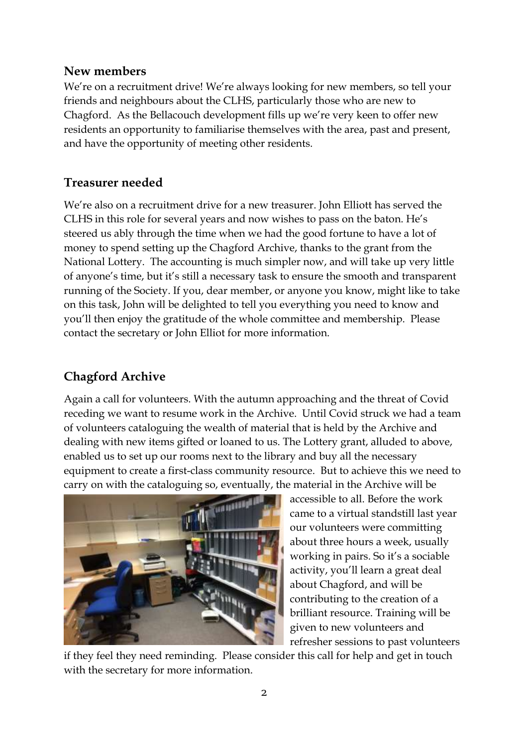### **New members**

We're on a recruitment drive! We're always looking for new members, so tell your friends and neighbours about the CLHS, particularly those who are new to Chagford. As the Bellacouch development fills up we're very keen to offer new residents an opportunity to familiarise themselves with the area, past and present, and have the opportunity of meeting other residents.

### **Treasurer needed**

We're also on a recruitment drive for a new treasurer. John Elliott has served the CLHS in this role for several years and now wishes to pass on the baton. He's steered us ably through the time when we had the good fortune to have a lot of money to spend setting up the Chagford Archive, thanks to the grant from the National Lottery. The accounting is much simpler now, and will take up very little of anyone's time, but it's still a necessary task to ensure the smooth and transparent running of the Society. If you, dear member, or anyone you know, might like to take on this task, John will be delighted to tell you everything you need to know and you'll then enjoy the gratitude of the whole committee and membership. Please contact the secretary or John Elliot for more information.

## **Chagford Archive**

Again a call for volunteers. With the autumn approaching and the threat of Covid receding we want to resume work in the Archive. Until Covid struck we had a team of volunteers cataloguing the wealth of material that is held by the Archive and dealing with new items gifted or loaned to us. The Lottery grant, alluded to above, enabled us to set up our rooms next to the library and buy all the necessary equipment to create a first-class community resource. But to achieve this we need to carry on with the cataloguing so, eventually, the material in the Archive will be



accessible to all. Before the work came to a virtual standstill last year our volunteers were committing about three hours a week, usually working in pairs. So it's a sociable activity, you'll learn a great deal about Chagford, and will be contributing to the creation of a brilliant resource. Training will be given to new volunteers and refresher sessions to past volunteers

if they feel they need reminding. Please consider this call for help and get in touch with the secretary for more information.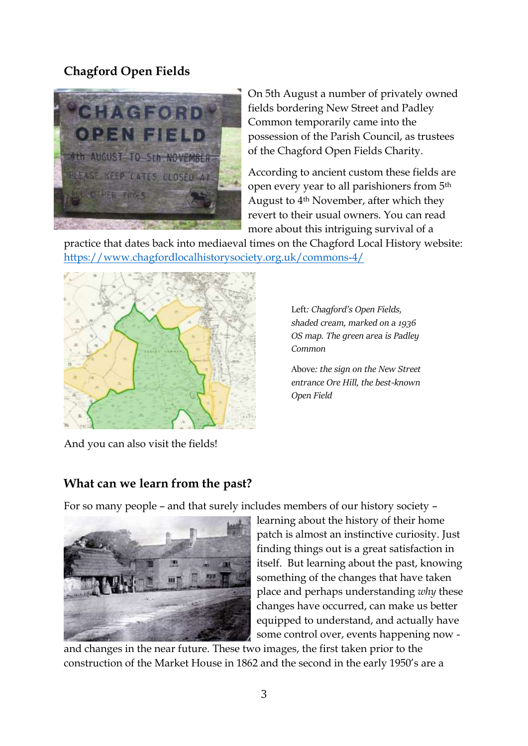## **Chagford Open Fields**



On 5th August a number of privately owned fields bordering New Street and Padley Common temporarily came into the possession of the Parish Council, as trustees of the Chagford Open Fields Charity.

According to ancient custom these fields are open every year to all parishioners from 5th August to 4th November, after which they revert to their usual owners. You can read more about this intriguing survival of a

practice that dates back into mediaeval times on the Chagford Local History website: <https://www.chagfordlocalhistorysociety.org.uk/commons-4/>



Left*: Chagford's Open Fields, shaded cream, marked on a 1936 OS map. The green area is Padley Common* 

Above*: the sign on the New Street entrance Ore Hill, the best-known Open Field*

And you can also visit the fields!

### **What can we learn from the past?**

For so many people – and that surely includes members of our history society –



learning about the history of their home patch is almost an instinctive curiosity. Just finding things out is a great satisfaction in itself. But learning about the past, knowing something of the changes that have taken place and perhaps understanding *why* these changes have occurred, can make us better equipped to understand, and actually have some control over, events happening now -

and changes in the near future. These two images, the first taken prior to the construction of the Market House in 1862 and the second in the early 1950's are a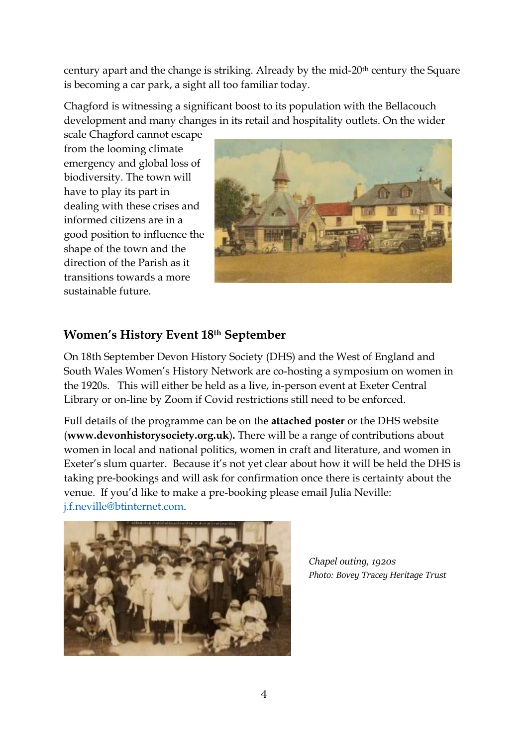century apart and the change is striking. Already by the mid-20th century the Square is becoming a car park, a sight all too familiar today.

Chagford is witnessing a significant boost to its population with the Bellacouch development and many changes in its retail and hospitality outlets. On the wider

scale Chagford cannot escape from the looming climate emergency and global loss of biodiversity. The town will have to play its part in dealing with these crises and informed citizens are in a good position to influence the shape of the town and the direction of the Parish as it transitions towards a more sustainable future.



### **Women's History Event 18th September**

On 18th September Devon History Society (DHS) and the West of England and South Wales Women's History Network are co-hosting a symposium on women in the 1920s. This will either be held as a live, in-person event at Exeter Central Library or on-line by Zoom if Covid restrictions still need to be enforced.

Full details of the programme can be on the **attached poster** or the DHS website (**www.devonhistorysociety.org.uk**)**.** There will be a range of contributions about women in local and national politics, women in craft and literature, and women in Exeter's slum quarter. Because it's not yet clear about how it will be held the DHS is taking pre-bookings and will ask for confirmation once there is certainty about the venue. If you'd like to make a pre-booking please email Julia Neville: [j.f.neville@btinternet.com.](mailto:j.f.neville@btinternet.com)



*Chapel outing, 1920s Photo: Bovey Tracey Heritage Trust*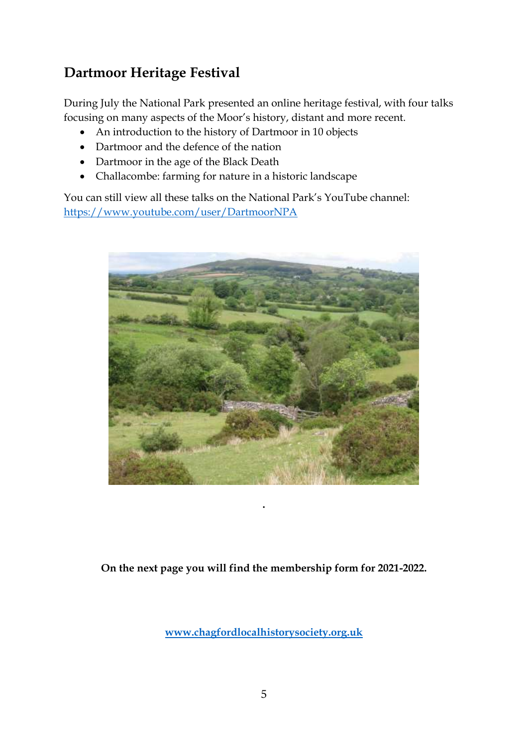# **Dartmoor Heritage Festival**

During July the National Park presented an online heritage festival, with four talks focusing on many aspects of the Moor's history, distant and more recent.

- An introduction to the history of Dartmoor in 10 objects
- Dartmoor and the defence of the nation
- Dartmoor in the age of the Black Death
- Challacombe: farming for nature in a historic landscape

You can still view all these talks on the National Park's YouTube channel: <https://www.youtube.com/user/DartmoorNPA>



**On the next page you will find the membership form for 2021-2022.**

**.**

**<www.chagfordlocalhistorysociety.org.uk>**